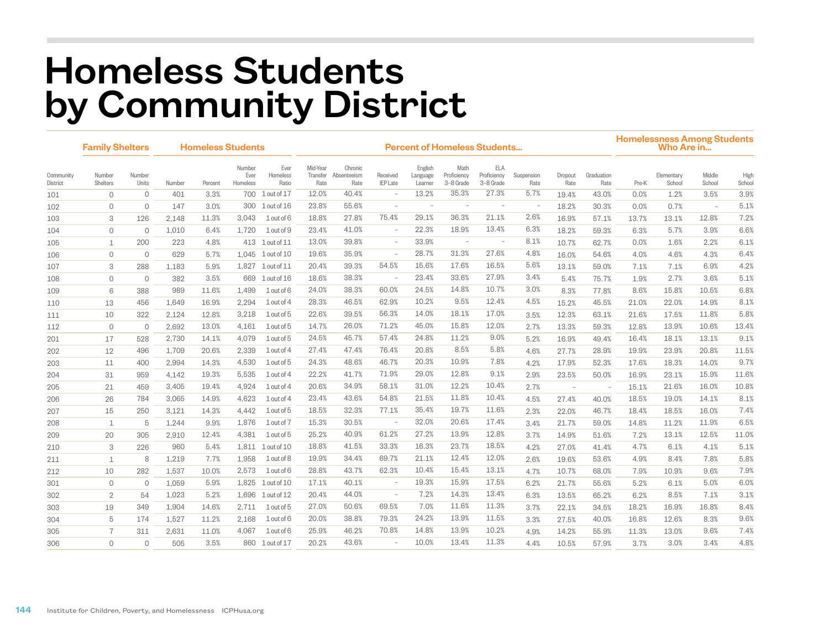## Homeless Students by Community District

|                       | <b>Family Shelters</b> |                 | <b>Homeless Students</b> |         |                            |                           | <b>Percent of Homeless Students</b> |                                |                             |                                |                                  |                                        |                          |                 |                          |       | <b>Homelessness Among Students</b><br>Who Are in |                          |                |  |  |
|-----------------------|------------------------|-----------------|--------------------------|---------|----------------------------|---------------------------|-------------------------------------|--------------------------------|-----------------------------|--------------------------------|----------------------------------|----------------------------------------|--------------------------|-----------------|--------------------------|-------|--------------------------------------------------|--------------------------|----------------|--|--|
| Community<br>District | Number<br>Shelters     | Number<br>Units | Number                   | Percent | Number<br>Ever<br>Homeless | Ever<br>Homeless<br>Ratio | Mid-Year<br>Transfer<br>Rate        | Chronic<br>Absenteeism<br>Rate | Received<br><b>IEP</b> Late | English<br>Language<br>Learner | Math<br>Proficiency<br>3-8 Grade | <b>ELA</b><br>Proficiency<br>3-8 Grade | Suspension<br>Rate       | Dropout<br>Rate | Graduation<br>Rate       | Pre-K | Elementary<br>School                             | Middle<br>School         | High<br>School |  |  |
| 101                   | $\Omega$               | $\mathbf{0}$    | 401                      | 3.3%    | 700                        | 1 out of 17               | 12.0%                               | 40.4%                          |                             | 13.2%                          | 35.3%                            | 27.3%                                  | 5.7%                     | 19.4%           | 43.0%                    | 0.0%  | 1.2%                                             | 3.5%                     | 3.9%           |  |  |
| 102                   | $\Omega$               | $\circ$         | 147                      | 3.0%    | 300                        | $1$ out of $16$           | 23.8%                               | 55.6%                          | $\sim$                      | $\overline{\phantom{a}}$       | $\overline{\phantom{a}}$         | $\overline{\phantom{a}}$               | $\overline{\phantom{m}}$ | 18.2%           | 30.3%                    | 0.0%  | 0.7%                                             | $\overline{\phantom{a}}$ | 5.1%           |  |  |
| 103                   | 3                      | 126             | 2,148                    | 11.3%   | 3.043                      | 1 out of 6                | 18.8%                               | 27.8%                          | 75.4%                       | 29.1%                          | 36.3%                            | 21.1%                                  | 2.6%                     | 16.9%           | 57.1%                    | 13.7% | 13.1%                                            | 12.8%                    | 7.2%           |  |  |
| 104                   | $\mathbf 0$            | $\Omega$        | 1,010                    | 6.4%    | 1.720                      | 1 out of 9                | 23.4%                               | 41.0%                          | $\overline{\phantom{a}}$    | 22.3%                          | 18.9%                            | 13.4%                                  | 6.3%                     | 18.2%           | 59.3%                    | 6.3%  | 5.7%                                             | 3.9%                     | 6.6%           |  |  |
| 105                   | $\mathbf{1}$           | 200             | 223                      | 4.8%    |                            | 413 1 out of 11           | 13.0%                               | 39.8%                          | $\equiv$                    | 33.9%                          | $\sim$                           | $\overline{\phantom{a}}$               | 8.1%                     | 10.7%           | 62.7%                    | 0.0%  | 1.6%                                             | 2.2%                     | 6.1%           |  |  |
| 106                   | $\circ$                | $\circ$         | 629                      | 5.7%    | 1,045                      | $1$ out of $10$           | 19.6%                               | 35.9%                          | $\equiv$                    | 28.7%                          | 31.3%                            | 27.6%                                  | 4.8%                     | 16.0%           | 54.6%                    | 4.0%  | 4.6%                                             | 4.3%                     | 6.4%           |  |  |
| 107                   | 3                      | 288             | 1,183                    | 5.9%    | 1,827                      | $1$ out of $11$           | 20.4%                               | 39.3%                          | 54.5%                       | 15.6%                          | 17.6%                            | 16.5%                                  | 5.6%                     | 13.1%           | 59.0%                    | 7.1%  | 7.1%                                             | 6.9%                     | 4.2%           |  |  |
| 108                   | $\circ$                | $\circ$         | 382                      | 3.5%    | 669                        | $1$ out of $16$           | 18.6%                               | 38.3%                          | $\sim$                      | 23.4%                          | 33.6%                            | 27.9%                                  | 3.4%                     | 5.4%            | 75.7%                    | 1.9%  | 2.7%                                             | 3.6%                     | 5.1%           |  |  |
| 109                   | 6                      | 388             | 989                      | 11.6%   | 1,499                      | 1 out of 6                | 24.0%                               | 38.3%                          | 60.0%                       | 24.5%                          | 14.8%                            | 10.7%                                  | 3.0%                     | 8.3%            | 77.8%                    | 8.6%  | 15.8%                                            | 10.5%                    | 6.8%           |  |  |
| 110                   | 13                     | 456             | 1,649                    | 16.9%   | 2,294                      | 1 out of 4                | 28.3%                               | 46.5%                          | 62.9%                       | 10.2%                          | 9.5%                             | 12.4%                                  | 4.5%                     | 15.2%           | 45.5%                    | 21.0% | 22.0%                                            | 14.9%                    | 8.1%           |  |  |
| 111                   | 10                     | 322             | 2,124                    | 12.8%   | 3,218                      | $1$ out of $5$            | 22.6%                               | 39.5%                          | 56.3%                       | 14.0%                          | 18.1%                            | 17.0%                                  | 3.5%                     | 12.3%           | 63.1%                    | 21.6% | 17.5%                                            | 11.8%                    | 5.8%           |  |  |
| 112                   | $\circ$                | $\mathbf{0}$    | 2.692                    | 13.0%   | 4,161                      | $1$ out of $5$            | 14.7%                               | 26.0%                          | 71.2%                       | 45.0%                          | 15.8%                            | 12.0%                                  | 2.7%                     | 13.3%           | 59.3%                    | 12.8% | 13.9%                                            | 10.6%                    | 13.4%          |  |  |
| 201                   | 17                     | 528             | 2,730                    | 14.1%   | 4,079                      | $1$ out of $5$            | 24.5%                               | 45.7%                          | 57.4%                       | 24.8%                          | 11.2%                            | 9.0%                                   | 5.2%                     | 16.9%           | 49.4%                    | 16.4% | 18.1%                                            | 13.1%                    | 9.1%           |  |  |
| 202                   | 12                     | 496             | 1.709                    | 20.6%   | 2,339                      | 1 out of 4                | 27.4%                               | 47.4%                          | 76.4%                       | 20.8%                          | 8.5%                             | 5.8%                                   | 4.6%                     | 27.7%           | 28.9%                    | 19.9% | 23.9%                                            | 20.8%                    | 11.5%          |  |  |
| 203                   | 11                     | 400             | 2,994                    | 14.3%   | 4,530                      | 1 out of 5                | 24.3%                               | 48.6%                          | 46.7%                       | 20.3%                          | 10.9%                            | 7.8%                                   | 4.2%                     | 17.9%           | 52.3%                    | 17.6% | 18.3%                                            | 14.0%                    | 9.7%           |  |  |
| 204                   | 31                     | 959             | 4,142                    | 19.3%   | 5,535                      | $1$ out of 4              | 22.2%                               | 41.7%                          | 71.9%                       | 29.0%                          | 12.8%                            | 9.1%                                   | 2.9%                     | 23.5%           | 50.0%                    | 16.9% | 23.1%                                            | 15.9%                    | 11.6%          |  |  |
| 205                   | 21                     | 459             | 3,405                    | 19.4%   | 4,924                      | 1 out of 4                | 20.6%                               | 34.9%                          | 58.1%                       | 31.0%                          | 12.2%                            | 10.4%                                  | 2.7%                     | ÷,              | $\overline{\phantom{a}}$ | 15.1% | 21.6%                                            | 16.0%                    | 10.8%          |  |  |
| 206                   | 26                     | 784             | 3,065                    | 14.9%   | 4,623                      | $1$ out of 4              | 23.4%                               | 43.6%                          | 54.8%                       | 21.5%                          | 11.8%                            | 10.4%                                  | 4.5%                     | 27.4%           | 40.0%                    | 18.5% | 19.0%                                            | 14.1%                    | 8.1%           |  |  |
| 207                   | 15                     | 250             | 3,121                    | 14.3%   | 4,442                      | $1$ out of $5$            | 18.5%                               | 32.3%                          | 77.1%                       | 35.4%                          | 19.7%                            | 11.6%                                  | 2.3%                     | 22.0%           | 46.7%                    | 18.4% | 18.5%                                            | 16.0%                    | 7.4%           |  |  |
| 208                   | $\mathbf{1}$           | 5               | 1,244                    | 9.9%    | 1.876                      | 1 out of 7                | 15.3%                               | 30.5%                          | $\overline{\phantom{a}}$    | 32.0%                          | 20.6%                            | 17.4%                                  | 3.4%                     | 21.7%           | 59.0%                    | 14.8% | 11.2%                                            | 11.9%                    | 6.5%           |  |  |
| 209                   | 20                     | 305             | 2,910                    | 12.4%   | 4.381                      | 1 out of 5                | 25.2%                               | 40.9%                          | 61.2%                       | 27.2%                          | 13.9%                            | 12.8%                                  | 3.7%                     | 14.9%           | 51.6%                    | 7.2%  | 13.1%                                            | 12.5%                    | 11.0%          |  |  |
| 210                   | 3                      | 226             | 960                      | 5.4%    |                            | 1,811 1 out of 10         | 18.8%                               | 41.5%                          | 33.3%                       | 16.3%                          | 23.7%                            | 18.5%                                  | 4.2%                     | 27.0%           | 41.4%                    | 4.7%  | 6.1%                                             | 4.1%                     | 5.1%           |  |  |
| 211                   | $\mathbf 1$            | 8               | 1,219                    | 7.7%    | 1,958                      | 1 out of 8                | 19.9%                               | 34.4%                          | 69.7%                       | 21.1%                          | 12.4%                            | 12.0%                                  | 2.6%                     | 19.6%           | 53.6%                    | 4.9%  | 8.4%                                             | 7.8%                     | 5.8%           |  |  |
| 212                   | 10                     | 282             | 1,537                    | 10.0%   | 2,573                      | 1 out of 6                | 28.8%                               | 43.7%                          | 62.3%                       | 10.4%                          | 15.4%                            | 13.1%                                  | 4.7%                     | 10.7%           | 68.0%                    | 7.9%  | 10.9%                                            | 9.6%                     | 7.9%           |  |  |
| 301                   | $\circ$                | $\mathbf{0}$    | 1,059                    | 5.9%    | 1,825                      | $1$ out of $10$           | 17.1%                               | 40.1%                          | $\overline{\phantom{a}}$    | 19.3%                          | 15.9%                            | 17.5%                                  | 6.2%                     | 21.7%           | 55.6%                    | 5.2%  | 6.1%                                             | 5.0%                     | 6.0%           |  |  |
| 302                   | $\overline{2}$         | 54              | 1,023                    | 5.2%    | 1,696                      | $1$ out of $12$           | 20.4%                               | 44.0%                          | $\overline{\phantom{a}}$    | 7.2%                           | 14.3%                            | 13.4%                                  | 6.3%                     | 13.5%           | 65.2%                    | 6.2%  | 8.5%                                             | 7.1%                     | 3.1%           |  |  |
| 303                   | 19                     | 349             | 1,904                    | 14.6%   | 2.711                      | 1 out of 5                | 27.0%                               | 50.6%                          | 69.5%                       | 7.0%                           | 11.6%                            | 11.3%                                  | 3.7%                     | 22.1%           | 34.5%                    | 18.2% | 16.9%                                            | 16.8%                    | 8.4%           |  |  |
| 304                   | 5                      | 174             | 1,527                    | 11.2%   | 2,168                      | 1 out of 6                | 20.0%                               | 38.8%                          | 79.3%                       | 24.2%                          | 13.9%                            | 11.5%                                  | 3.3%                     | 27.5%           | 40.0%                    | 16.8% | 12.6%                                            | 8.3%                     | 9.6%           |  |  |
| 305                   | $\overline{7}$         | 311             | 2,631                    | 11.0%   | 4.067                      | 1 out of 6                | 25.9%                               | 46.2%                          | 70.8%                       | 14.8%                          | 13.9%                            | 10.2%                                  | 4.9%                     | 14.2%           | 55.9%                    | 11.3% | 13.0%                                            | 9.6%                     | 7.4%           |  |  |
| 306                   | $\Omega$               | $\Omega$        | 505                      | 3.5%    |                            | 860 1 out of 17           | 20.2%                               | 43.6%                          |                             | 10.0%                          | 13.4%                            | 11.3%                                  | 4.4%                     | 10.5%           | 57.9%                    | 3.7%  | 3.0%                                             | 3.4%                     | 4.8%           |  |  |